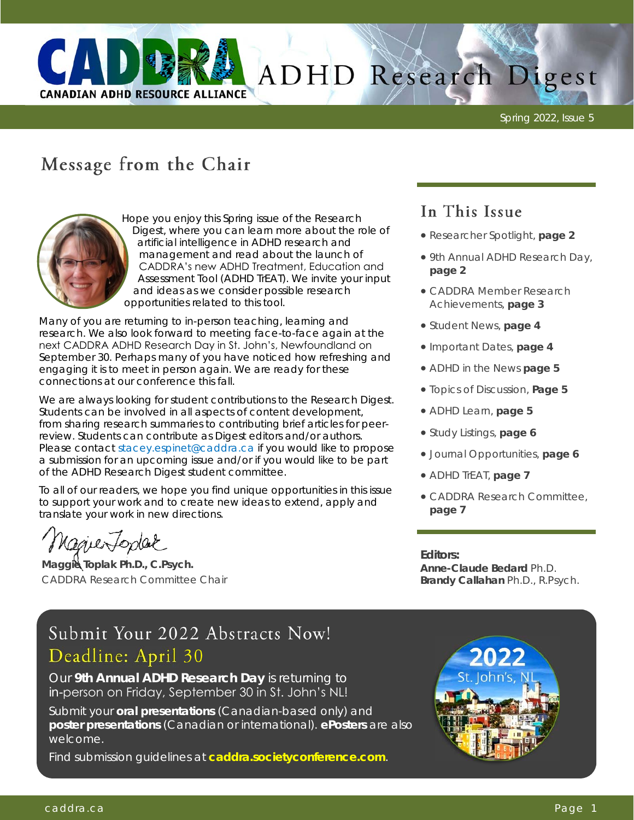

# ADHD Research Digest

Spring 2022, Issue 5

## Message from the Chair



Hope you enjoy this Spring issue of the Research Digest, where you can learn more about the role of artificial intelligence in ADHD research and management and read about the launch of CADDRA's new ADHD Treatment, Education and Assessment Tool (ADHD TrEAT). We invite your input and ideas as we consider possible research opportunities related to this tool.

Many of you are returning to in-person teaching, learning and research. We also look forward to meeting face-to-face again at the next CADDRA ADHD Research Day in St. John's, Newfoundland on September 30. Perhaps many of you have noticed how refreshing and engaging it is to meet in person again. We are ready for these connections at our conference this fall.

We are always looking for student contributions to the Research Digest. Students can be involved in all aspects of content development, from sharing research summaries to contributing brief articles for peerreview. Students can contribute as Digest editors and/or authors. Please contact [stacey.espinet@caddra.ca i](mailto:stacey.espinet@caddra.ca)f you would like to propose a submission for an upcoming issue and/or if you would like to be part of the ADHD Research Digest student committee.

To all of our readers, we hope you find unique opportunities in this issue to support your work and to create new ideas to extend, apply and translate your work in new directions.

NaguerToplac

**Maggie Toplak Ph.D., C.Psych.** CADDRA Research Committee Chair

## In This Issue

- Researcher Spotlight, **page 2**
- 9th Annual ADHD Research Day, **page 2**
- CADDRA Member Research Achievements, **page 3**
- Student News, **page 4**
- Important Dates, **page 4**
- ADHD in the News **page 5**
- Topics of Discussion, **Page 5**
- ADHD Learn, **page 5**
- Study Listings, **page 6**
- Journal Opportunities, **page 6**
- ADHD TrEAT, **page 7**
- CADDRA Research Committee, **page 7**

**Editors: Anne-Claude Bedard** Ph.D. **Brandy Callahan** Ph.D., R.Psych.

## Submit Your 2022 Abstracts Now! Deadline: April 30

Our **9th Annual ADHD Research Day** is returning to in-person on Friday, September 30 in St. John's NL!

Submit your **oral presentations** (Canadian-based only) and based **poster presentations** (Canadian or international). **ePosters** are also welcome.

Find submission guidelines at **<caddra.societyconference.com>**.

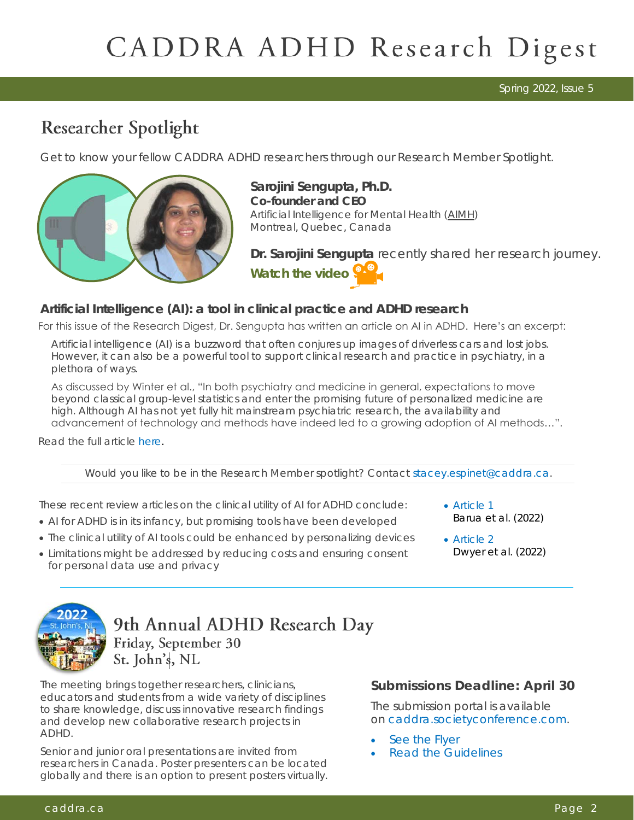Spring 2022, Issue 5

## Researcher Spotlight

Get to know your fellow CADDRA ADHD researchers through our Research Member Spotlight.



**Sarojini Sengupta, Ph.D. Co-founder and CEO** Artificial Intelligence for Mental Health ([AIMH\)](https://ca.linkedin.com/company/aimhinc?trk=public_profile_experience-item_profile-section-card_subtitle-click)  Montreal, Quebec, Canada

Dr. Sarojini Sengupta recently shared her research journey. **[Watch the video](https://player.vimeo.com/video/688918825?h=d8ae11ff67&badge=0&autopause=0&player_id=0&app_id=58479%22%20width=%221280%22%20height=%22720%22%20frameborder=%220%22%20allow=%22autoplay;%20fullscreen;%20picture-in-picture%22%20allowfullscreen%20ti)** 

*Artificial Intelligence (AI): a tool in clinical practice and ADHD research* 

For this issue of the Research Digest, Dr. Sengupta has written an article on AI in ADHD. Here's an excerpt:

Artificial intelligence (AI) is a buzzword that often conjures up images of driverless cars and lost jobs. However, it can also be a powerful tool to support clinical research and practice in psychiatry, in a plethora of ways.

As discussed by Winter et al., "In both psychiatry and medicine in general, expectations to move beyond classical group-level statistics and enter the promising future of personalized medicine are high. Although AI has not yet fully hit mainstream psychiatric research, the availability and advancement of technology and methods have indeed led to a growing adoption of AI methods…".

Read the full article [here.](http://caddra.joynadmin.org/documents/1033/624474a30a1de766ed65c352.pdf)

Would you like to be in the Research Member spotlight? Contact [stacey.espinet@caddra.ca.](mailto:Stacey.Espinet@caddra.ca)

These recent review articles on the clinical utility of AI for ADHD conclude:

- AI for ADHD is in its infancy, but promising tools have been developed
- The clinical utility of AI tools could be enhanced by personalizing devices
- Limitations might be addressed by reducing costs and ensuring consent for personal data use and privacy
- Article 1 Barua et al. (2022)
- Article 2 Dwyer et al. (2022)



9th Annual ADHD Research Day Friday, September 30 St. John's, NL

The meeting brings together researchers, clinicians, educators and students from a wide variety of disciplines to share knowledge, discuss innovative research findings and develop new collaborative research projects in ADHD.

Senior and junior oral presentations are invited from researchers in Canada. Poster presenters can be located globally and there is an option to present posters virtually. **Submissions Deadline: April 30**

The submission portal is available on [caddra.societyconference.com.](caddra.societyconference.com)

- [See the Flyer](https://mcusercontent.com/5ef46f0881/files/a5b68852-5cd1-2acb-960f-285b1f70cfe3/RD_Call_for_Abstracts_2022_v2.pdf)
- [Read the Guidelines](https://mcusercontent.com/5ef46f0881/files/f6b12704-ea75-dabb-8855-612753624d7d/CADDRA_Research_Day_2022_Submission_Guidelines.pdf)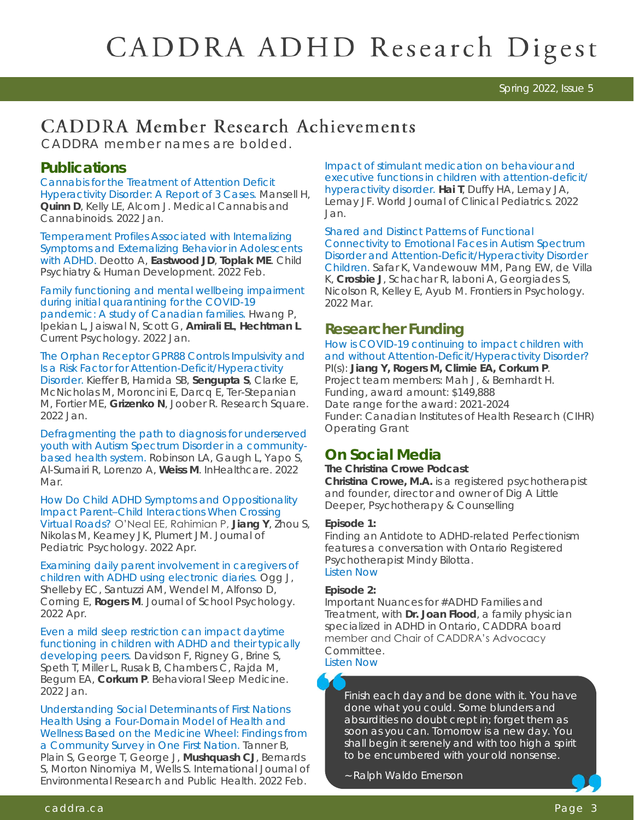Spring 2022, Issue 5

# **CADDRA Member Research Achievements**

CADDRA member names are bolded.

#### **Publications**

*[Cannabis for the Treatment of Attention Deficit](https://www.karger.com/Article/FullText/521370)  [Hyperactivity Disorder: A Report of 3 Cases.](https://www.karger.com/Article/FullText/521370)* Mansell H, **Quinn D**, Kelly LE, Alcorn J. Medical Cannabis and Cannabinoids. 2022 Jan.

*[Temperament Profiles Associated with Internalizing](https://pubmed.ncbi.nlm.nih.gov/33398690/)  [Symptoms and Externalizing Behavior in Adolescents](https://pubmed.ncbi.nlm.nih.gov/33398690/)  [with ADHD](https://pubmed.ncbi.nlm.nih.gov/33398690/)*. Deotto A, **Eastwood JD**, **Toplak ME**. Child Psychiatry & Human Development. 2022 Feb.

*[Family functioning and mental wellbeing impairment](https://link.springer.com/article/10.1007/s12144-021-02689-1)  [during initial quarantining for the COVID-19](https://link.springer.com/article/10.1007/s12144-021-02689-1)  [pandemic: A study of Canadian families.](https://link.springer.com/article/10.1007/s12144-021-02689-1)* Hwang P, Ipekian L, Jaiswal N, Scott G, **Amirali EL**, **Hechtman L**. Current Psychology. 2022 Jan.

*[The Orphan Receptor GPR88 Controls Impulsivity and](https://www.researchsquare.com/article/rs-1260604/v1)  [Is a Risk Factor for Attention-Deficit/Hyperactivity](https://www.researchsquare.com/article/rs-1260604/v1)  [Disorder.](https://www.researchsquare.com/article/rs-1260604/v1)* Kieffer B, Hamida SB, **Sengupta S**, Clarke E,

McNicholas M, Moroncini E, Darcq E, Ter-Stepanian M, Fortier ME, **Grizenko N**, Joober R. Research Square. 2022 Jan.

*[Defragmenting the path to diagnosis for underserved](https://pubmed.ncbi.nlm.nih.gov/35144168/)  [youth with Autism Spectrum Disorder in a community](https://pubmed.ncbi.nlm.nih.gov/35144168/)[based health system.](https://pubmed.ncbi.nlm.nih.gov/35144168/)* Robinson LA, Gaugh L, Yapo S, Al-Sumairi R, Lorenzo A, **Weiss M**. InHealthcare. 2022 Mar.

*[How Do Child ADHD Symptoms and Oppositionality](https://pubmed.ncbi.nlm.nih.gov/34664654/)  Impact Parent–[Child Interactions When Crossing](https://pubmed.ncbi.nlm.nih.gov/34664654/)  [Virtual Roads?](https://pubmed.ncbi.nlm.nih.gov/34664654/)* O'Neal EE, Rahimian P, **Jiang Y**, Zhou S, Nikolas M, Kearney JK, Plumert JM. Journal of Pediatric Psychology. 2022 Apr.

*[Examining daily parent involvement in caregivers of](https://pubmed.ncbi.nlm.nih.gov/35190076/)  [children with ADHD using electronic diaries.](https://pubmed.ncbi.nlm.nih.gov/35190076/)* Ogg J, Shelleby EC, Santuzzi AM, Wendel M, Alfonso D, Corning E, **Rogers M**. Journal of School Psychology. 2022 Apr.

*[Even a mild sleep restriction can impact daytime](https://pubmed.ncbi.nlm.nih.gov/33455462/)  [functioning in children with ADHD and their typically](https://pubmed.ncbi.nlm.nih.gov/33455462/)  [developing peers.](https://pubmed.ncbi.nlm.nih.gov/33455462/)* Davidson F, Rigney G, Brine S, Speth T, Miller L, Rusak B, Chambers C, Rajda M, Begum EA, **Corkum P**. Behavioral Sleep Medicine. 2022 Jan.

*[Understanding Social Determinants of First Nations](https://www.researchgate.net/publication/358937627_Understanding_Social_Determinants_of_First_Nations_Health_Using_a_Four-Domain_Model_of_Health_and_Wellness_Based_on_the_Medicine_Wheel_Findings_from_a_Community_Survey_in_One_First_Nation)  [Health Using a Four-Domain Model of Health and](https://www.researchgate.net/publication/358937627_Understanding_Social_Determinants_of_First_Nations_Health_Using_a_Four-Domain_Model_of_Health_and_Wellness_Based_on_the_Medicine_Wheel_Findings_from_a_Community_Survey_in_One_First_Nation)  [Wellness Based on the Medicine Wheel: Findings from](https://www.researchgate.net/publication/358937627_Understanding_Social_Determinants_of_First_Nations_Health_Using_a_Four-Domain_Model_of_Health_and_Wellness_Based_on_the_Medicine_Wheel_Findings_from_a_Community_Survey_in_One_First_Nation)  [a Community Survey in One First Nation.](https://www.researchgate.net/publication/358937627_Understanding_Social_Determinants_of_First_Nations_Health_Using_a_Four-Domain_Model_of_Health_and_Wellness_Based_on_the_Medicine_Wheel_Findings_from_a_Community_Survey_in_One_First_Nation)* Tanner B, Plain S, George T, George J, **Mushquash CJ**, Bernards S, Morton Ninomiya M, Wells S. International Journal of Environmental Research and Public Health. 2022 Feb.

*[Impact of stimulant medication on behaviour and](https://www.wjgnet.com/2219-2808/full/v11/i1/48.htm)  [executive functions in children with attention-deficit/](https://www.wjgnet.com/2219-2808/full/v11/i1/48.htm) [hyperactivity disorder.](https://www.wjgnet.com/2219-2808/full/v11/i1/48.htm)* **Hai T**, Duffy HA, Lemay JA, Lemay JF. World Journal of Clinical Pediatrics. 2022 Jan.

*[Shared and Distinct Patterns of Functional](https://www.researchgate.net/profile/Kristina-Safar/publication/359118055_Shared_and_Distinct_Patterns_of_Functional_Connectivity_to_Emotional_Faces_in_Autism_Spectrum_Disorder_and_Attention-DeficitHyperactivity_Disorder_Children/links/6228e5559f7b3246341c)  [Connectivity to Emotional Faces in Autism Spectrum](https://www.researchgate.net/profile/Kristina-Safar/publication/359118055_Shared_and_Distinct_Patterns_of_Functional_Connectivity_to_Emotional_Faces_in_Autism_Spectrum_Disorder_and_Attention-DeficitHyperactivity_Disorder_Children/links/6228e5559f7b3246341c)  [Disorder and Attention-Deficit/Hyperactivity Disorder](https://www.researchgate.net/profile/Kristina-Safar/publication/359118055_Shared_and_Distinct_Patterns_of_Functional_Connectivity_to_Emotional_Faces_in_Autism_Spectrum_Disorder_and_Attention-DeficitHyperactivity_Disorder_Children/links/6228e5559f7b3246341c)  [Children.](https://www.researchgate.net/profile/Kristina-Safar/publication/359118055_Shared_and_Distinct_Patterns_of_Functional_Connectivity_to_Emotional_Faces_in_Autism_Spectrum_Disorder_and_Attention-DeficitHyperactivity_Disorder_Children/links/6228e5559f7b3246341c)* Safar K, Vandewouw MM, Pang EW, de Villa K, **Crosbie J**, Schachar R, Iaboni A, Georgiades S, Nicolson R, Kelley E, Ayub M. Frontiers in Psychology. 2022 Mar.

### **Researcher Funding**

#### *[How is COVID-19 continuing to impact children with](https://www.canada.ca/en/institutes-health-research/news/2021/12/health-researchers-across-canada-launch-projects-to-mitigate-impacts-of-covid-19-pandemic-on-children-youth-and-families0.html)  [and without Attention-Deficit/Hyperactivity Disorder?](https://www.canada.ca/en/institutes-health-research/news/2021/12/health-researchers-across-canada-launch-projects-to-mitigate-impacts-of-covid-19-pandemic-on-children-youth-and-families0.html)*

PI(s): **Jiang Y, Rogers M, Climie EA, Corkum P**. Project team members: Mah J, & Bernhardt H. Funding, award amount: \$149,888 Date range for the award: 2021-2024 Funder: Canadian Institutes of Health Research (CIHR) Operating Grant

### **On Social Media**

**The Christina Crowe Podcast Christina Crowe, M.A.** is a registered psychotherapist and founder, director and owner of Dig A Little Deeper, Psychotherapy & Counselling

#### **Episode 1:**

*Finding an Antidote to ADHD-related Perfectionism*  features a conversation with Ontario Registered Psychotherapist Mindy Bilotta. [Listen Now](https://l8r.it/K0u1)

**Episode 2:**

*Important Nuances for #ADHD Families and Treatment*, with **Dr. Joan Flood**, a family physician specialized in ADHD in Ontario, CADDRA board member and Chair of CADDRA's Advocacy Committee. [Listen Now](https://l8r.it/AyD1)

*Finish each day and be done with it. You have done what you could. Some blunders and absurdities no doubt crept in; forget them as soon as you can. Tomorrow is a new day. You shall begin it serenely and with too high a spirit to be encumbered with your old nonsense.* 

~ Ralph Waldo Emerson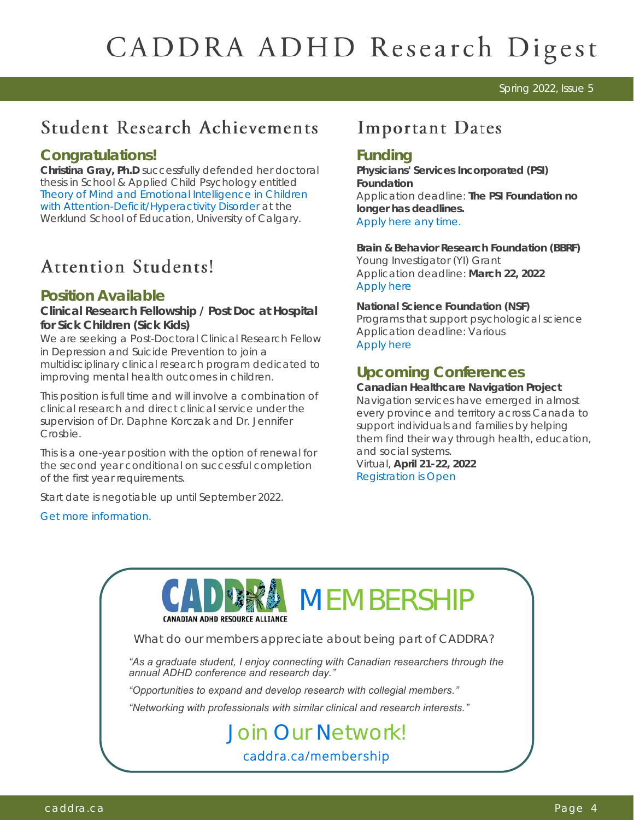#### Spring 2022, Issue 5

## **Student Research Achievements**

#### **Congratulations!**

**Christina Gray, Ph.D** successfully defended her doctoral thesis in School & Applied Child Psychology entitled *[Theory of Mind and Emotional Intelligence in Children](https://prism.ucalgary.ca/handle/1880/113629)  [with Attention-Deficit/Hyperactivity Disorder](https://prism.ucalgary.ca/handle/1880/113629)* at the Werklund School of Education, University of Calgary.

## **Attention Students!**

### **Position Available**

**Clinical Research Fellowship / Post Doc at Hospital for Sick Children (Sick Kids)**

We are seeking a Post-Doctoral Clinical Research Fellow in Depression and Suicide Prevention to join a multidisciplinary clinical research program dedicated to improving mental health outcomes in children.

This position is full time and will involve a combination of clinical research and direct clinical service under the supervision of Dr. Daphne Korczak and Dr. Jennifer Crosbie.

This is a one-year position with the option of renewal for the second year conditional on successful completion of the first year requirements.

Start date is negotiable up until September 2022.

[Get more information.](https://career.sickkids.ca:8001/psc/CRPRD/CAREER/HRMS/c/HRS_HRAM_FL.HRS_CG_SEARCH_FL.GBL?Page=HRS_APP_JBPST_FL&Action=U&FOCUS=Applicant&SiteId=1&JobOpeningId=15965&PostingSeq=1&)

## **Important Dates**

#### **Funding**

**Physicians' Services Incorporated (PSI) Foundation**  Application deadline: **The PSI Foundation no longer has deadlines.**  [Apply here any time.](https://www.psifoundation.org/funding-programs/)

**Brain & Behavior Research Foundation (BBRF)**  Young Investigator (YI) Grant Application deadline: **March 22, 2022** [Apply here](https://www.bbrfoundation.org/grants-prizes/bbrf-young-investigator-grants)

**National Science Foundation (NSF)**  Programs that support psychological science Application deadline: Various [Apply here](https://www.psychologicalscience.org/policy/nsf-grant-submission-deadlines.html)

## **Upcoming Conferences**

**Canadian Healthcare Navigation Project**  Navigation services have emerged in almost every province and territory across Canada to support individuals and families by helping them find their way through health, education, and social systems. Virtual, **April 21-22, 2022** [Registration is Open](https://www.eventbrite.ca/e/canadian-healthcare-navigation-conference-2022-tickets-267067374707?aff=ebdssbdestsearch) 

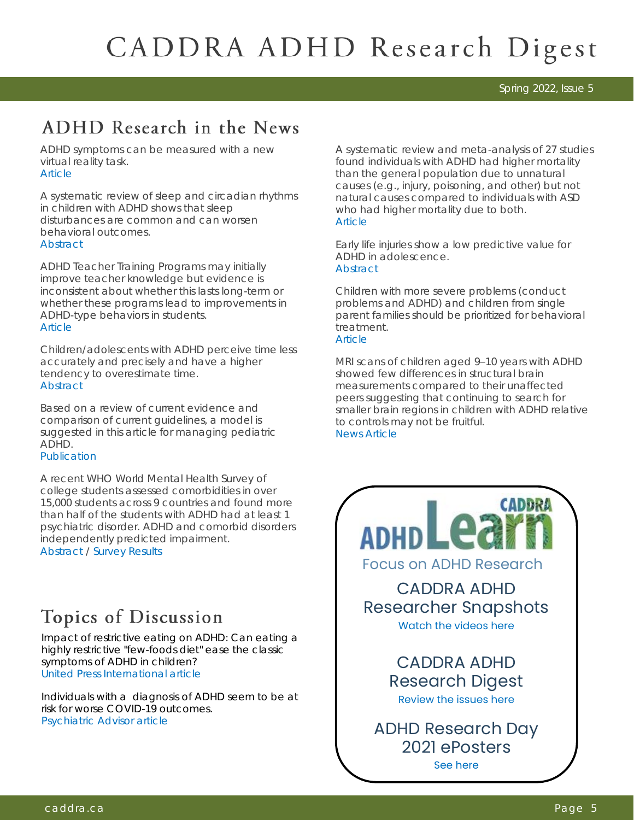Spring 2022, Issue 5

# ADHD Research in the News

ADHD symptoms can be measured with a new virtual reality task. **[Article](https://journals.sagepub.com/doi/pdf/10.1177/10870547211044214)** 

A systematic review of sleep and circadian rhythms in children with ADHD shows that sleep disturbances are common and can worsen behavioral outcomes. **[Abstract](https://pubmed.ncbi.nlm.nih.gov/33402013/)** 

ADHD Teacher Training Programs may initially improve teacher knowledge but evidence is inconsistent about whether this lasts long-term or whether these programs lead to improvements in ADHD-type behaviors in students. **[Article](https://journals.sagepub.com/doi/pdf/10.1177/1087054720972801)** 

Children/adolescents with ADHD perceive time less accurately and precisely and have a higher tendency to overestimate time. **[Abstract](https://journals.sagepub.com/doi/abs/10.1177/1087054720978557)** 

Based on a review of current evidence and comparison of current guidelines, a model is suggested in this article for managing pediatric ADHD.

**[Publication](https://kclpure.kcl.ac.uk/portal/files/161853261/ECAP_D_21_00277_R1_5_.pdf)** 

A recent WHO World Mental Health Survey of college students assessed comorbidities in over 15,000 students across 9 countries and found more than half of the students with ADHD had at least 1 psychiatric disorder. ADHD and comorbid disorders independently predicted impairment. [Abstract](https://journals.sagepub.com/doi/abs/10.1177/10870547211057275) / [Survey Results](https://www.psychiatryadvisor.com/home/topics/adhd/adhd-prevalence-was-higher-in-english-speaking-countries/?utm_source=newsletter&utm_medium=email&utm_campaign=pa-update-hay-20211215&cpn=&hmSubId=vOn4QEeZ96g1&hmEmail=zZjBoV7X_kswzOcRHEp9qgPakzuhiBC7gqbP1H)

## Topics of Discussion

Impact of restrictive eating on ADHD: Can eating a highly restrictive "few-foods diet" ease the classic symptoms of ADHD in children? [United Press International article](https://www.upi.com/Health_News/2022/01/05/diet-ADHD-symptoms/2231641327131/)

Individuals with a diagnosis of ADHD seem to be at risk for worse COVID-19 outcomes. [Psychiatric Advisor article](https://www.psychiatryadvisor.com/home/topics/adhd/adhd-is-associated-with-greater-covid-19-symptom-severity-and-hospitalization/?utm_source=newsletter&utm_medium=email&utm_campaign=pa-update-hay-20220110&cpn=&hmSubId=vOn4QEeZ96g1&hmEmail=zZjBoV7X_kswzOcRH) 

A systematic review and meta-analysis of 27 studies found individuals with ADHD had higher mortality than the general population due to unnatural causes (e.g., injury, poisoning, and other) but not natural causes compared to individuals with ASD who had higher mortality due to both. [Article](https://jamanetwork.com/journals/jamapediatrics/fullarticle/2789090?guestAccessKey=e5c3d53c-5b77-4098-91bb-6d2d5d53361d&utm_content=weekly_highlights&utm_term=022022&utm_source=silverchair&utm_campaign=jama_network&cmp=1&utm_medium=email)

Early life injuries show a low predictive value for ADHD in adolescence. **[Abstract](https://www.psychiatrist.com/jcp/neurodevelopmental/early-life-injuries-and-adhd/?utm_source=jcp-gl&utm_medium=email&utm_campaign=jcpwk010422&utm_content=21m14033)** 

Children with more severe problems (conduct problems and ADHD) and children from single parent families should be prioritized for behavioral treatment.

#### **[Article](https://www.jaacap.org/action/showPdf?pii=S0890-8567%2821%2900233-1)**

MRI scans of children aged 9–10 years with ADHD showed few differences in structural brain measurements compared to their unaffected peers suggesting that continuing to search for smaller brain regions in children with ADHD relative to controls may not be fruitful. [News Article](http://ow.ly/5non50HPqoj)

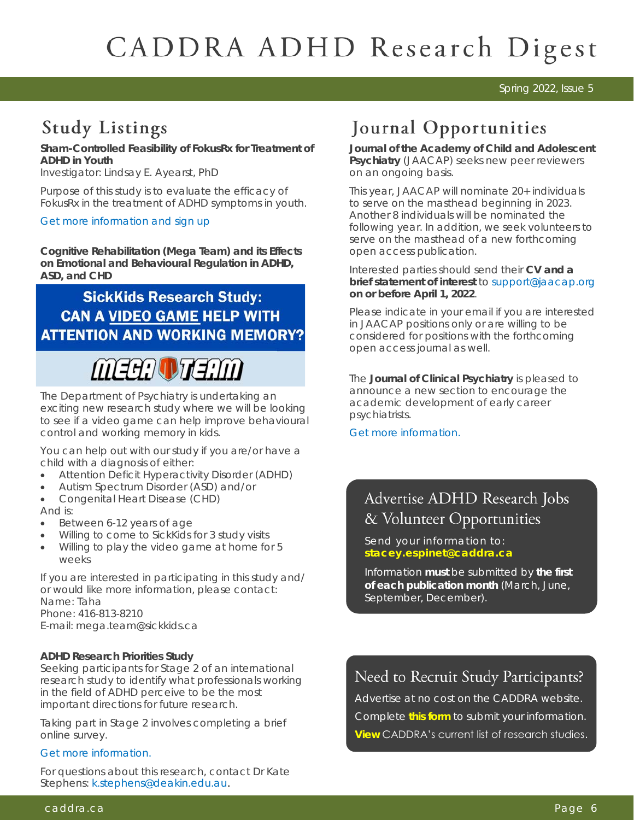#### Spring 2022, Issue 5

## **Study Listings**

**Sham-Controlled Feasibility of FokusRx for Treatment of ADHD in Youth**

Investigator: Lindsay E. Ayearst, PhD

Purpose of this study is to evaluate the efficacy of FokusRx in the treatment of ADHD symptoms in youth.

#### [Get more information and sign up](https://docs.google.com/forms/d/e/1FAIpQLSdh3ZM_sI8NEtGo4ElL9VWbyjBcEhq7QbLoT9ITWptIz0wm7Q/viewform)

**Cognitive Rehabilitation (Mega Team) and its Effects on Emotional and Behavioural Regulation in ADHD, ASD, and CHD**

## **SickKids Research Study: CAN A VIDEO GAME HELP WITH ATTENTION AND WORKING MEMORY?**

MEEN VENM

The Department of Psychiatry is undertaking an exciting new research study where we will be looking to see if a video game can help improve behavioural control and working memory in kids.

You can help out with our study if you are/or have a child with a diagnosis of either:

- Attention Deficit Hyperactivity Disorder (ADHD)
- Autism Spectrum Disorder (ASD) and/or
- Congenital Heart Disease (CHD) And is:
- Between 6-12 years of age
- Willing to come to SickKids for 3 study visits
- Willing to play the video game at home for 5 weeks

If you are interested in participating in this study and/ or would like more information, please contact: Name: Taha Phone: 416-813-8210 E-mail: mega.team@sickkids.ca

**ADHD Research Priorities Study**

Seeking participants for Stage 2 of an international research study to identify what professionals working in the field of ADHD perceive to be the most important directions for future research.

Taking part in Stage 2 involves completing a brief online survey.

#### [Get more information.](https://psych.hosted-sites.deakin.edu.au/redcap/surveys/?s=FJDE9TM7AY)

For questions about this research, contact Dr Kate Stephens: [k.stephens@deakin.edu.au.](mailto:k.stephens@deakin.edu.au)

## Journal Opportunities

**Journal of the Academy of Child and Adolescent Psychiatry** (JAACAP) seeks new peer reviewers on an ongoing basis.

This year, JAACAP will nominate 20+ individuals to serve on the masthead beginning in 2023. Another 8 individuals will be nominated the following year. In addition, we seek volunteers to serve on the masthead of a new forthcoming open access publication.

Interested parties should send their **CV and a brief statement of interest** to [support@jaacap.org](mailto:support@jaacap.org) **on or before April 1, 2022**.

Please indicate in your email if you are interested in JAACAP positions only or are willing to be considered for positions with the forthcoming open access journal as well.

The **Journal of Clinical Psychiatry** is pleased to announce a new section to encourage the academic development of early career psychiatrists.

[Get more information.](https://www.psychiatrist.com/jcp/journal/call-papers-early-career-psychiatrists/?CLICK=1) 

## Advertise ADHD Research Jobs & Volunteer Opportunities

Send your information to: **[stacey.espinet@caddra.ca](mailto:stacey.espinet@caddra.ca)**

Information **must** be submitted by **the first of each publication month** (March, June, September, December).

## Need to Recruit Study Participants?

Advertise at no cost on the CADDRA website. Complete **[this form](https://form.jotform.com/90555799981276)** to submit your information. **[View](https://www.caddra.ca/research-studies-listings/)** CADDRA's current list of research studies.